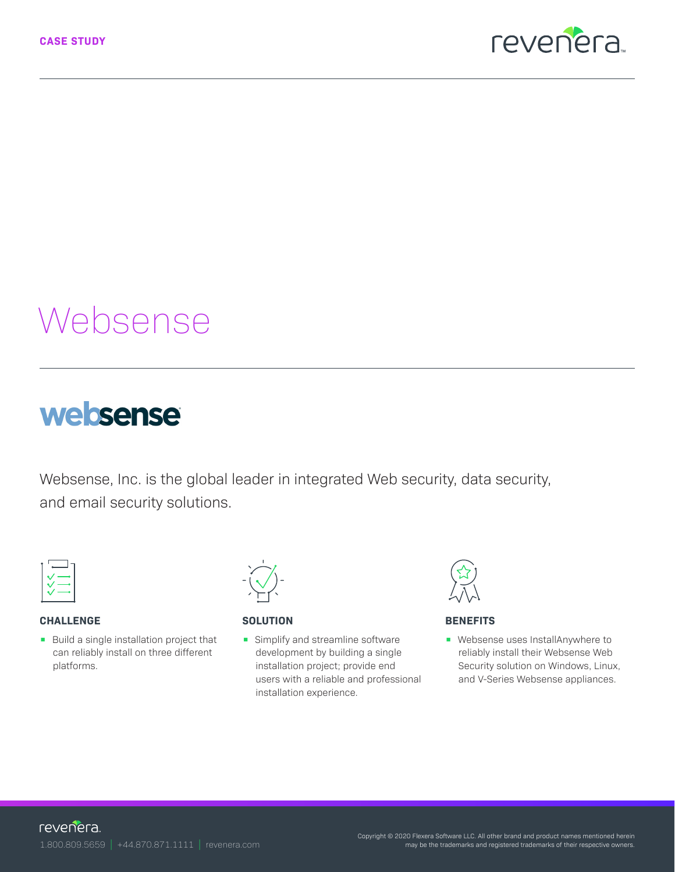

# Websense

## websense

Websense, Inc. is the global leader in integrated Web security, data security, and email security solutions.



#### **CHALLENGE**

**•** Build a single installation project that can reliably install on three different platforms.



#### **SOLUTION**

**•** Simplify and streamline software development by building a single installation project; provide end users with a reliable and professional installation experience.



#### **BENEFITS**

**•** Websense uses InstallAnywhere to reliably install their Websense Web Security solution on Windows, Linux, and V-Series Websense appliances.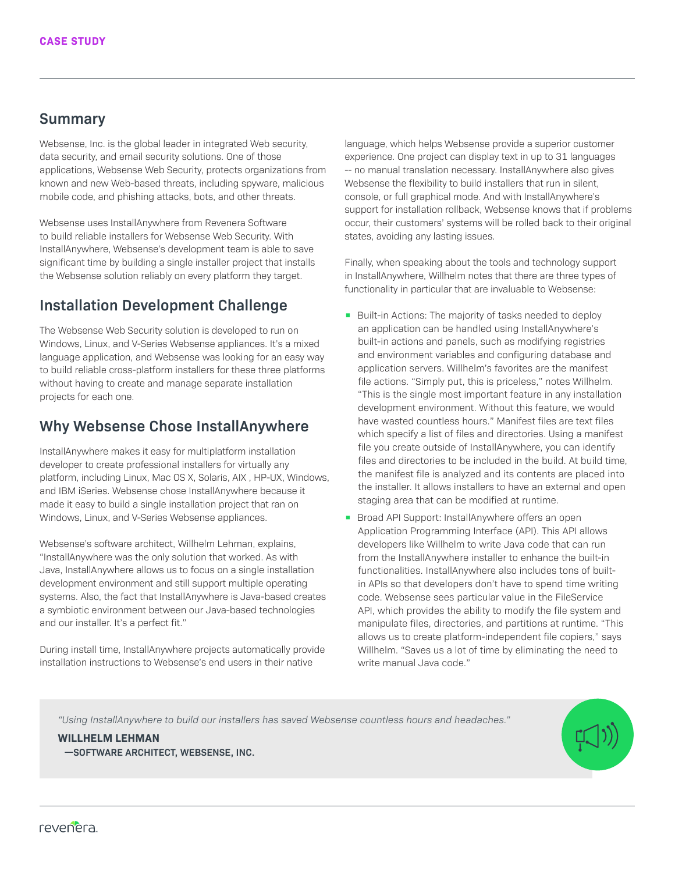#### **Summary**

Websense, Inc. is the global leader in integrated Web security, data security, and email security solutions. One of those applications, Websense Web Security, protects organizations from known and new Web-based threats, including spyware, malicious mobile code, and phishing attacks, bots, and other threats.

Websense uses InstallAnywhere from Revenera Software to build reliable installers for Websense Web Security. With InstallAnywhere, Websense's development team is able to save significant time by building a single installer project that installs the Websense solution reliably on every platform they target.

## **Installation Development Challenge**

The Websense Web Security solution is developed to run on Windows, Linux, and V-Series Websense appliances. It's a mixed language application, and Websense was looking for an easy way to build reliable cross-platform installers for these three platforms without having to create and manage separate installation projects for each one.

## **Why Websense Chose InstallAnywhere**

InstallAnywhere makes it easy for multiplatform installation developer to create professional installers for virtually any platform, including Linux, Mac OS X, Solaris, AIX , HP-UX, Windows, and IBM iSeries. Websense chose InstallAnywhere because it made it easy to build a single installation project that ran on Windows, Linux, and V-Series Websense appliances.

Websense's software architect, Willhelm Lehman, explains, "InstallAnywhere was the only solution that worked. As with Java, InstallAnywhere allows us to focus on a single installation development environment and still support multiple operating systems. Also, the fact that InstallAnywhere is Java-based creates a symbiotic environment between our Java-based technologies and our installer. It's a perfect fit."

During install time, InstallAnywhere projects automatically provide installation instructions to Websense's end users in their native

language, which helps Websense provide a superior customer experience. One project can display text in up to 31 languages -- no manual translation necessary. InstallAnywhere also gives Websense the flexibility to build installers that run in silent, console, or full graphical mode. And with InstallAnywhere's support for installation rollback, Websense knows that if problems occur, their customers' systems will be rolled back to their original states, avoiding any lasting issues.

Finally, when speaking about the tools and technology support in InstallAnywhere, Willhelm notes that there are three types of functionality in particular that are invaluable to Websense:

- Built-in Actions: The majority of tasks needed to deploy an application can be handled using InstallAnywhere's built-in actions and panels, such as modifying registries and environment variables and configuring database and application servers. Willhelm's favorites are the manifest file actions. "Simply put, this is priceless," notes Willhelm. "This is the single most important feature in any installation development environment. Without this feature, we would have wasted countless hours." Manifest files are text files which specify a list of files and directories. Using a manifest file you create outside of InstallAnywhere, you can identify files and directories to be included in the build. At build time, the manifest file is analyzed and its contents are placed into the installer. It allows installers to have an external and open staging area that can be modified at runtime.
- Broad API Support: InstallAnywhere offers an open Application Programming Interface (API). This API allows developers like Willhelm to write Java code that can run from the InstallAnywhere installer to enhance the built-in functionalities. InstallAnywhere also includes tons of builtin APIs so that developers don't have to spend time writing code. Websense sees particular value in the FileService API, which provides the ability to modify the file system and manipulate files, directories, and partitions at runtime. "This allows us to create platform-independent file copiers," says Willhelm. "Saves us a lot of time by eliminating the need to write manual Java code."

*"Using InstallAnywhere to build our installers has saved Websense countless hours and headaches."*

**WILLHELM LEHMAN —SOFTWARE ARCHITECT, WEBSENSE, INC.**